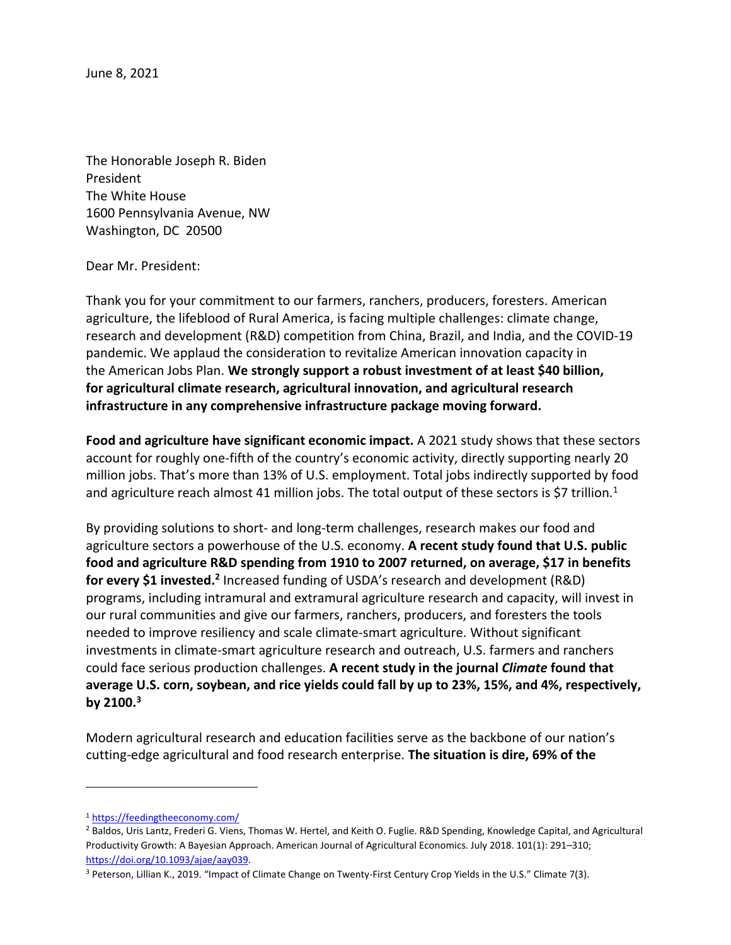June 8, 2021

The Honorable Joseph R. Biden President The White House 1600 Pennsylvania Avenue, NW Washington, DC 20500

## Dear Mr. President:

Thank you for your commitment to our farmers, ranchers, producers, foresters. American agriculture, the lifeblood of Rural America, is facing multiple challenges: climate change, research and development (R&D) competition from China, Brazil, and India, and the COVID-19 pandemic. We applaud the consideration to revitalize American innovation capacity in the American Jobs Plan. **We strongly support a robust investment of at least \$40 billion, for agricultural climate research, agricultural innovation, and agricultural research infrastructure in any comprehensive infrastructure package moving forward.**

**Food and agriculture have significant economic impact.** A 2021 study shows that these sectors account for roughly one-fifth of the country's economic activity, directly supporting nearly 20 million jobs. That's more than 13% of U.S. employment. Total jobs indirectly supported by food and agriculture reach almost 41 million jobs. The total output of these sectors is \$7 trillion.<sup>1</sup>

By providing solutions to short- and long-term challenges, research makes our food and agriculture sectors a powerhouse of the U.S. economy. **A recent study found that U.S. public food and agriculture R&D spending from 1910 to 2007 returned, on average, \$17 in benefits**  for every \$1 invested.<sup>2</sup> Increased funding of USDA's research and development (R&D) programs, including intramural and extramural agriculture research and capacity, will invest in our rural communities and give our farmers, ranchers, producers, and foresters the tools needed to improve resiliency and scale climate-smart agriculture. Without significant investments in climate-smart agriculture research and outreach, U.S. farmers and ranchers could face serious production challenges. **A recent study in the journal** *Climate* **found that average U.S. corn, soybean, and rice yields could fall by up to 23%, 15%, and 4%, respectively, by 2100.<sup>3</sup>**

Modern agricultural research and education facilities serve as the backbone of our nation's cutting-edge agricultural and food research enterprise. **The situation is dire, 69% of the**

<sup>1</sup> <https://feedingtheeconomy.com/>

<sup>&</sup>lt;sup>2</sup> Baldos, Uris Lantz, Frederi G. Viens, Thomas W. Hertel, and Keith O. Fuglie. R&D Spending, Knowledge Capital, and Agricultural Productivity Growth: A Bayesian Approach. American Journal of Agricultural Economics. July 2018. 101(1): 291–310; [https://doi.org/10.1093/ajae/aay039.](https://doi.org/10.1093/ajae/aay039)

<sup>3</sup> Peterson, Lillian K., 2019. "Impact of Climate Change on Twenty-First Century Crop Yields in the U.S." Climate 7(3).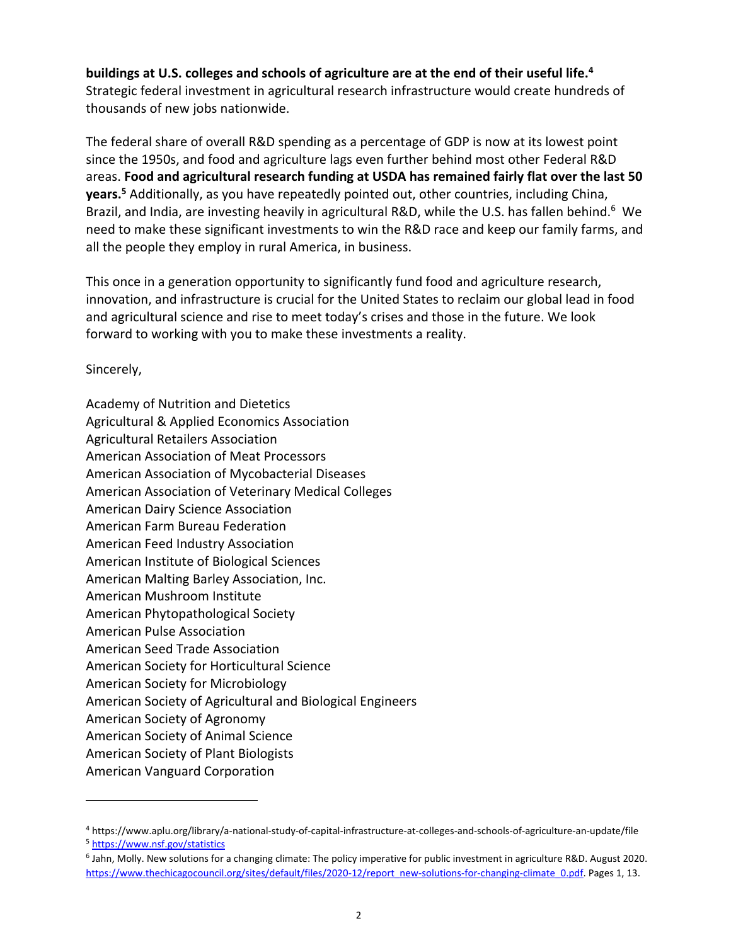## **buildings at U.S. colleges and schools of agriculture are at the end of their useful life.<sup>4</sup>** Strategic federal investment in agricultural research infrastructure would create hundreds of thousands of new jobs nationwide.

The federal share of overall R&D spending as a percentage of GDP is now at its lowest point since the 1950s, and food and agriculture lags even further behind most other Federal R&D areas. **Food and agricultural research funding at USDA has remained fairly flat over the last 50 years.<sup>5</sup>** Additionally, as you have repeatedly pointed out, other countries, including China, Brazil, and India, are investing heavily in agricultural R&D, while the U.S. has fallen behind.<sup>6</sup> We need to make these significant investments to win the R&D race and keep our family farms, and all the people they employ in rural America, in business.

This once in a generation opportunity to significantly fund food and agriculture research, innovation, and infrastructure is crucial for the United States to reclaim our global lead in food and agricultural science and rise to meet today's crises and those in the future. We look forward to working with you to make these investments a reality.

Sincerely,

Academy of Nutrition and Dietetics Agricultural & Applied Economics Association Agricultural Retailers Association American Association of Meat Processors American Association of Mycobacterial Diseases American Association of Veterinary Medical Colleges American Dairy Science Association American Farm Bureau Federation American Feed Industry Association American Institute of Biological Sciences American Malting Barley Association, Inc. American Mushroom Institute American Phytopathological Society American Pulse Association American Seed Trade Association American Society for Horticultural Science American Society for Microbiology American Society of Agricultural and Biological Engineers American Society of Agronomy American Society of Animal Science American Society of Plant Biologists American Vanguard Corporation

<sup>4</sup> https://www.aplu.org/library/a-national-study-of-capital-infrastructure-at-colleges-and-schools-of-agriculture-an-update/file <sup>5</sup> [https://www.nsf.gov/statistics](https://www.nsf.gov/statistics/)

<sup>6</sup> Jahn, Molly. New solutions for a changing climate: The policy imperative for public investment in agriculture R&D. August 2020. [https://www.thechicagocouncil.org/sites/default/files/2020-12/report\\_new-solutions-for-changing-climate\\_0.pdf.](https://www.thechicagocouncil.org/sites/default/files/2020-12/report_new-solutions-for-changing-climate_0.pdf) Pages 1, 13.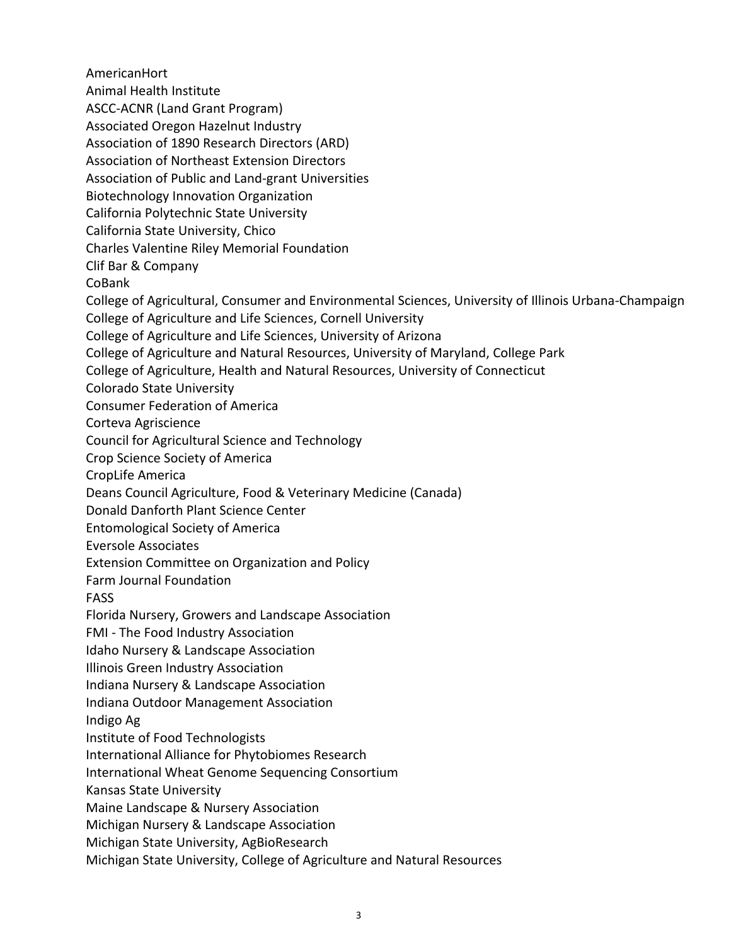AmericanHort Animal Health Institute ASCC-ACNR (Land Grant Program) Associated Oregon Hazelnut Industry Association of 1890 Research Directors (ARD) Association of Northeast Extension Directors Association of Public and Land-grant Universities Biotechnology Innovation Organization California Polytechnic State University California State University, Chico Charles Valentine Riley Memorial Foundation Clif Bar & Company CoBank College of Agricultural, Consumer and Environmental Sciences, University of Illinois Urbana-Champaign College of Agriculture and Life Sciences, Cornell University College of Agriculture and Life Sciences, University of Arizona College of Agriculture and Natural Resources, University of Maryland, College Park College of Agriculture, Health and Natural Resources, University of Connecticut Colorado State University Consumer Federation of America Corteva Agriscience Council for Agricultural Science and Technology Crop Science Society of America CropLife America Deans Council Agriculture, Food & Veterinary Medicine (Canada) Donald Danforth Plant Science Center Entomological Society of America Eversole Associates Extension Committee on Organization and Policy Farm Journal Foundation FASS Florida Nursery, Growers and Landscape Association FMI - The Food Industry Association Idaho Nursery & Landscape Association Illinois Green Industry Association Indiana Nursery & Landscape Association Indiana Outdoor Management Association Indigo Ag Institute of Food Technologists International Alliance for Phytobiomes Research International Wheat Genome Sequencing Consortium Kansas State University Maine Landscape & Nursery Association Michigan Nursery & Landscape Association Michigan State University, AgBioResearch Michigan State University, College of Agriculture and Natural Resources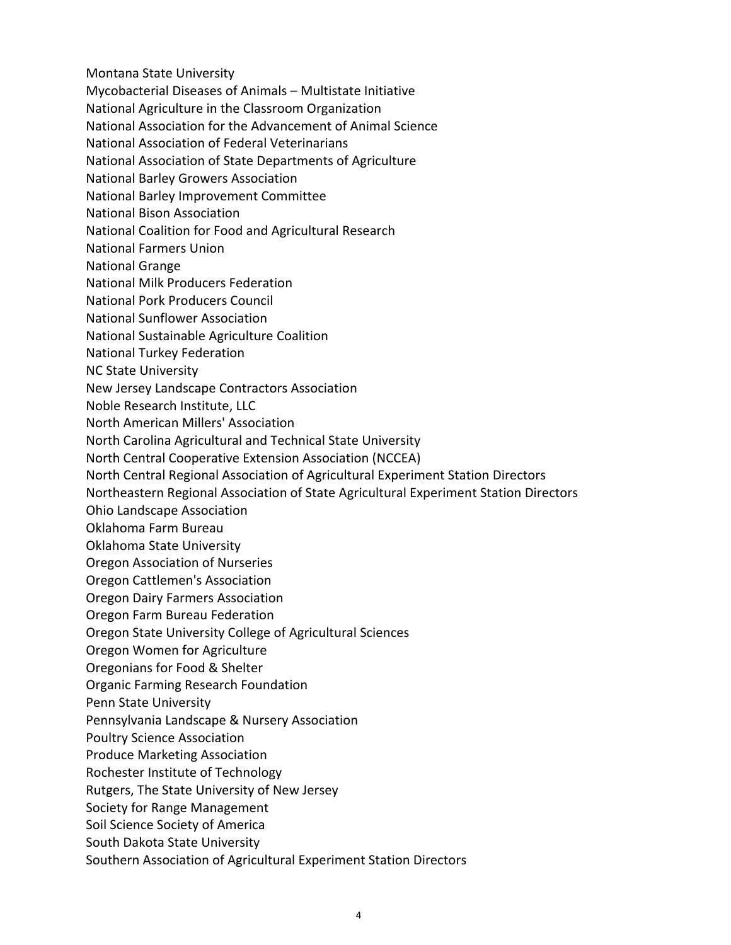- Montana State University
- Mycobacterial Diseases of Animals Multistate Initiative
- National Agriculture in the Classroom Organization
- National Association for the Advancement of Animal Science
- National Association of Federal Veterinarians
- National Association of State Departments of Agriculture
- National Barley Growers Association
- National Barley Improvement Committee
- National Bison Association
- National Coalition for Food and Agricultural Research
- National Farmers Union
- National Grange
- National Milk Producers Federation
- National Pork Producers Council
- National Sunflower Association
- National Sustainable Agriculture Coalition
- National Turkey Federation
- NC State University
- New Jersey Landscape Contractors Association
- Noble Research Institute, LLC
- North American Millers' Association
- North Carolina Agricultural and Technical State University
- North Central Cooperative Extension Association (NCCEA)
- North Central Regional Association of Agricultural Experiment Station Directors
- Northeastern Regional Association of State Agricultural Experiment Station Directors
- Ohio Landscape Association
- Oklahoma Farm Bureau
- Oklahoma State University
- Oregon Association of Nurseries
- Oregon Cattlemen's Association
- Oregon Dairy Farmers Association
- Oregon Farm Bureau Federation
- Oregon State University College of Agricultural Sciences
- Oregon Women for Agriculture
- Oregonians for Food & Shelter
- Organic Farming Research Foundation
- Penn State University
- Pennsylvania Landscape & Nursery Association
- Poultry Science Association
- Produce Marketing Association
- Rochester Institute of Technology
- Rutgers, The State University of New Jersey
- Society for Range Management
- Soil Science Society of America
- South Dakota State University
- Southern Association of Agricultural Experiment Station Directors